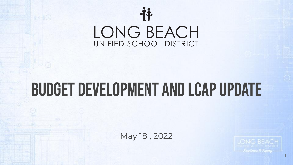

#### Budget development and LCAP Update

May 18 , 2022

Foodlence & Paulty

1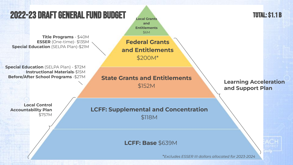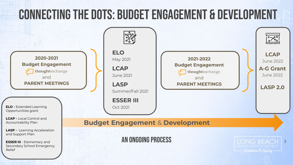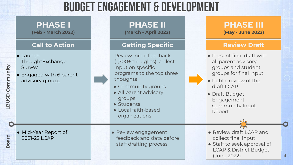#### Budget Engagement & Development

|                 | <b>PHASE I</b><br>(Feb - March 2022)                                                        | <b>PHASE II</b><br>(March - April 2022)                                                                                                                                                                                            | <b>PHASE III</b><br>(May - June 2022)                                                                                                                                                                  |
|-----------------|---------------------------------------------------------------------------------------------|------------------------------------------------------------------------------------------------------------------------------------------------------------------------------------------------------------------------------------|--------------------------------------------------------------------------------------------------------------------------------------------------------------------------------------------------------|
|                 | <b>Call to Action</b>                                                                       | <b>Getting Specific</b>                                                                                                                                                                                                            | <b>Review Draft</b>                                                                                                                                                                                    |
| LBUSD Community | $\bullet$ Launch<br>ThoughtExchange<br>Survey<br>• Engaged with 6 parent<br>advisory groups | Review initial feedback<br>(1,700+ thoughts), collect<br>input on specific<br>programs to the top three<br>thoughts<br>• Community groups<br>• All parent advisory<br>groups<br>• Students<br>• Local faith-based<br>organizations | • Present final draft with<br>all parent advisory<br>groups and student<br>groups for final input<br>• Public review of the<br>draft LCAP<br>• Draft Budget<br>Engagement<br>Community Input<br>Report |
| <b>Board</b>    | • Mid-Year Report of<br>2021-22 LCAP                                                        | • Review engagement<br>feedback and data before<br>staff drafting process                                                                                                                                                          | • Review draft LCAP and<br>collect final input<br>• Staff to seek approval of<br><b>LCAP &amp; District Budget</b><br>(June 2022)                                                                      |

4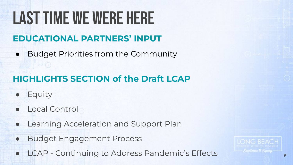# Last time we were here

#### **EDUCATIONAL PARTNERS' INPUT**

• Budget Priorities from the Community

#### **HIGHLIGHTS SECTION of the Draft LCAP**

- **Equity**
- Local Control
- Learning Acceleration and Support Plan
- **Budget Engagement Process**
- LCAP Continuing to Address Pandemic's Effects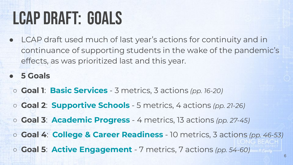#### LCAP DRAFT: GOALS

- LCAP draft used much of last year's actions for continuity and in continuance of supporting students in the wake of the pandemic's effects, as was prioritized last and this year.
- **● 5 Goals**
	- **Goal 1**: **Basic Services** 3 metrics, 3 actions *(pp. 16-20)*
	- **Goal 2**: **Supportive Schools** 5 metrics, 4 actions *(pp. 21-26)*
	- **Goal 3**: **Academic Progress** 4 metrics, 13 actions *(pp. 27-45)*
	- **Goal 4**: **College & Career Readiness** 10 metrics, 3 actions *(pp. 46-53)* ○ **Goal 5**: **Active Engagement** - 7 metrics, 7 actions *(pp. 54-60)*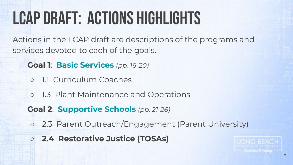# LCAP DRAFT: ACTIONS HIGHLIGHTS

Actions in the LCAP draft are descriptions of the programs and services devoted to each of the goals.

**Goal 1**: **Basic Services** *(pp. 16-20)*

- 1.1 Curriculum Coaches
- 1.3 Plant Maintenance and Operations
- **Goal 2**: **Supportive Schools** *(pp. 21-26)*
- 2.3 Parent Outreach/Engagement (Parent University)
- **○ 2.4 Restorative Justice (TOSAs)**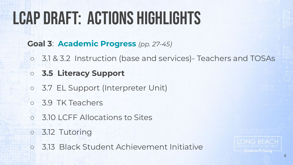# LCAP DRAFT: ACTIONS HIGHLIGHTS

#### **Goal 3**: **Academic Progress** *(pp. 27-45)*

- 3.1 & 3.2 Instruction (base and services)- Teachers and TOSAs
- **○ 3.5 Literacy Support**
- 3.7 EL Support (Interpreter Unit)
- 3.9 TK Teachers
- **3.10 LCFF Allocations to Sites**
- 3.12 Tutoring
- 3.13 Black Student Achievement Initiative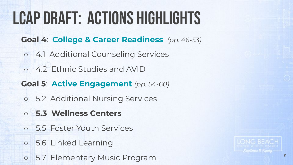# LCAP DRAFT: ACTIONS HIGHLIGHTS

- **Goal 4**: **College & Career Readiness** *(pp. 46-53)*
	- 4.1 Additional Counseling Services
- 4.2 Ethnic Studies and AVID
- **Goal 5**: **Active Engagement** *(pp. 54-60)*
- 5.2 Additional Nursing Services
- **○ 5.3 Wellness Centers**
- 5.5 Foster Youth Services
- 5.6 Linked Learning
- o 5.7 Elementary Music Program 9

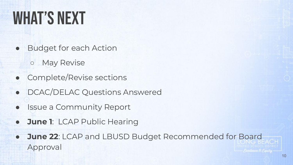# WHAT'S NEXT

- **Budget for each Action** 
	- May Revise
- Complete/Revise sections
- DCAC/DELAC Questions Answered
- **Issue a Community Report**
- **June 1: LCAP Public Hearing**
- **June 22: LCAP and LBUSD Budget Recommended for Board** Approval Freellence & Faulty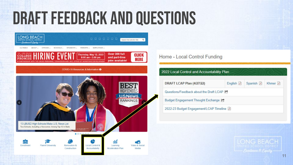#### DRaft Feedback and Questions



#### Home - Local Control Funding

| 2022 Local Control and Accountability Plan  |           |           |         |
|---------------------------------------------|-----------|-----------|---------|
| DRAFT LCAP Plan (4/27/22)                   | English A | Spanish A | Khmer A |
| Questions/Feedback about the Draft LCAP [C] |           |           |         |
| Budget Engagement Thought Exchange [?       |           |           |         |
| 2022-23 Budget Engagement/LCAP Timeline A   |           |           |         |

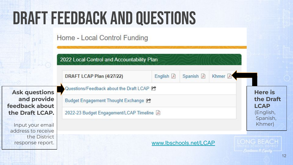# DRaft Feedback and Questions

Home - Local Control Funding

2022 Local Control and Accountability Plan

DRAFT LCAP Plan (4/27/22) English A Spanish A Khmer **E** Questions/Feedback about the Draft LCAP [ **Ask questions Here is and provide the Draft** Budget Engagement Thought Exchange [?] **feedback about LCAP** (English, **the Draft LCAP.** 2022-23 Budget Engagement/LCAP Timeline A Spanish, Khmer) Input your email address to receive the District ONG BEACH [www.lbschools.net/LCAP](http://www.lbschools.net/LCAP)response report.

12